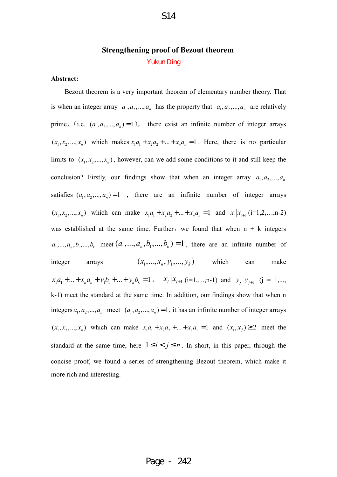# **Strengthening proof of Bezout theorem**  Yukun Ding

#### **Abstract:**

Bezout theorem is a very important theorem of elementary number theory. That is when an integer array  $a_1, a_2, ..., a_n$  has the property that  $a_1, a_2, ..., a_n$  are relatively prime, (i.e.  $(a_1, a_2, ..., a_n) = 1$ ), there exist an infinite number of integer arrays  $(x_1, x_2, \ldots, x_n)$  which makes  $x_1a_1 + x_2a_2 + \ldots + x_na_n = 1$ . Here, there is no particular limits to  $(x_1, x_2, ..., x_n)$ , however, can we add some conditions to it and still keep the conclusion? Firstly, our findings show that when an integer array  $a_1, a_2, ..., a_n$ satisfies  $(a_1, a_2, ..., a_n) = 1$ , there are an infinite number of integer arrays  $(x_1, x_2,...,x_n)$  which can make  $x_1a_1 + x_2a_2 + ... + x_na_n = 1$  and  $x_i | x_{i+1}$  (i=1,2,...,n-2) was established at the same time. Further, we found that when  $n + k$  integers  $a_1, ..., a_n, b_1, ..., b_k$  meet  $(a_1, ..., a_n, b_1, ..., b_k) = 1$ , there are an infinite number of integer arrays  $(x_1, ..., x_n, y_1, ..., y_k)$  which can make  $x_1 a_1 + ... + x_n a_n + y_1 b_1 + ... + y_k b_k = 1$ ,  $x_i | x_{i+1}$  (i=1,...,n-1) and  $y_j | y_{j+1}$  (j = 1,..., k-1) meet the standard at the same time. In addition, our findings show that when n integers  $a_1, a_2, ..., a_n$  meet  $(a_1, a_2, ..., a_n) = 1$ , it has an infinite number of integer arrays  $(x_1, x_2, ..., x_n)$  which can make  $x_1a_1 + x_2a_2 + ... + x_na_n = 1$  and  $(x_i, x_j) \ge 2$  meet the standard at the same time, here  $1 \le i < j \le n$ . In short, in this paper, through the concise proof, we found a series of strengthening Bezout theorem, which make it more rich and interesting.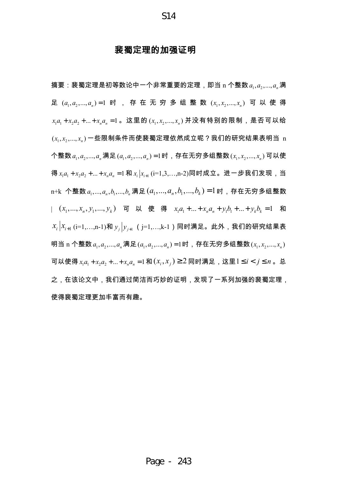S14

## **裴蜀定理的加**强证明

摘要:裴蜀定理是初等数论中一个非常重要的定理,即当 n 个整数 $\,a_{_{1}},a_{_{2}},...,a_{_{n}}$ 满 足  $(a_{\text{I}}, a_{\text{2}},..., a_{\text{n}})$ =1 时 , 存 在 无 穷 多 组 整 数  $(x_{\text{I}},x_{\text{2}},..., x_{\text{n}})$  可 以 使 得  $x_{\scriptscriptstyle\rm I}$   $a_{\scriptscriptstyle\rm I}$  +  $x_{\scriptscriptstyle\rm 2}$  + … +  $x_{\scriptscriptstyle\rm n}$   $a_{\scriptscriptstyle\rm n}$  =  $1$  。这里的  $(x_{\scriptscriptstyle\rm I},x_{\scriptscriptstyle\rm 2},...,x_{\scriptscriptstyle\rm n})$  并没有特别的限制,是否可以给  $(x_{\textrm{\tiny{I}}}, x_{\textrm{\tiny{2}}}, ..., x_{\textrm{\tiny{n}}})$ 一些限制条件而使裴蜀定理依然成立呢?我们的研究结果表明当  $\text{\tiny{n}}$ 个整数 $\left. a_{_{1}},a_{_{2}},...,a_{_{n}}\right\rangle$ 满足 $\left( a_{_{1}},a_{_{2}},...,a_{_{n}}\right)$ =1时,存在无穷多组整数 $\left( x_{_{1}},x_{_{2}},...,x_{_{n}}\right)$ 可以使 得 $x_1a_1 + x_2a_2 + ... + x_na_n = 1$  和 $x_i | x_{i+1}$  (i=1,3,…,n-2)同时成立。进一步我们发现,当 n+k 个整数  $a_1,...,a_n, b_1,...,b_n$ 满足 $\left( a_1,...,a_n, b_1,...,b_k \right)$ = $1$  时,存在无穷多组整数 |  $(x_1, ..., x_n, y_1, ..., y_k)$  可 以 使 得  $x_1a_1 + ... + x_na_n + y_1b_1 + ... + y_kb_k = 1$  和  $x_{\scriptscriptstyle i}\left| x_{\scriptscriptstyle i+1}\left( \textrm{i=1},\ldots,\textrm{n-1}\right)$ 和 $y_{\scriptscriptstyle j}\left| y_{\scriptscriptstyle j+1}\right.$ (j=1,…,k-1)同时满足。此外,我们的研究结果表 明当 n 个整数 $\,a_{_1},a_{_2},...,a_{_n}$ 满足 $\,(a_{_1},a_{_2},...,a_{_n})$ =1时,存在无穷多组整数 $\,(x_{_1},x_{_2},...,x_{_n})\,$ 可以使得 $x_1a_1 + x_2a_2 + ... + x_na_n = 1$ 和 $(x_i, x_j)$ ≥2 同时满足,这里 $1 \le i < j \le n$ 。总 之,在该论文中,我们通过简洁而巧妙的证明,发现了一系列加强的裴蜀定理, 使得裴蜀定理更加丰富而有趣。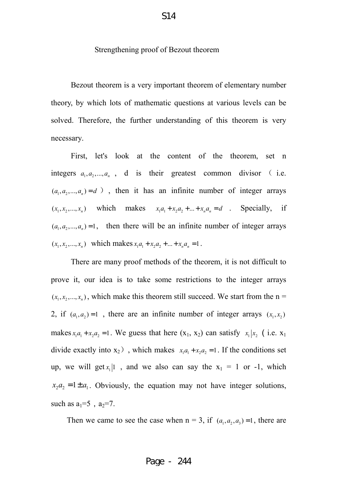#### Strengthening proof of Bezout theorem

Bezout theorem is a very important theorem of elementary number theory, by which lots of mathematic questions at various levels can be solved. Therefore, the further understanding of this theorem is very necessary.

First, let's look at the content of the theorem, set n integers  $a_1, a_2, ..., a_n$ , d is their greatest common divisor (i.e.  $(a_1, a_2, ..., a_n) = d$ ), then it has an infinite number of integer arrays  $(x_1, x_2, ..., x_n)$  which makes  $x_1a_1 + x_2a_2 + ... + x_na_n = d$ . Specially, if  $(a_1, a_2, ..., a_n) = 1$ , then there will be an infinite number of integer arrays  $(x_1, x_2, ..., x_n)$  which makes  $x_1a_1 + x_2a_2 + ... + x_na_n = 1$ .

There are many proof methods of the theorem, it is not difficult to prove it, our idea is to take some restrictions to the integer arrays  $(x_1, x_2, \ldots, x_n)$ , which make this theorem still succeed. We start from the  $n =$ 2, if  $(a_1, a_2) = 1$ , there are an infinite number of integer arrays  $(x_1, x_2)$ makes  $x_1 a_1 + x_2 a_2 = 1$ . We guess that here  $(x_1, x_2)$  can satisfy  $x_1 | x_2$  (i.e.  $x_1$ ) divide exactly into  $x_2$ ), which makes  $x_1 a_1 + x_2 a_2 = 1$ . If the conditions set up, we will get  $x_1$ |1, and we also can say the  $x_1 = 1$  or -1, which  $x_2 a_2 = 1 \pm a_1$ . Obviously, the equation may not have integer solutions, such as  $a_1=5$ ,  $a_2=7$ .

Then we came to see the case when  $n = 3$ , if  $(a_1, a_2, a_3) = 1$ , there are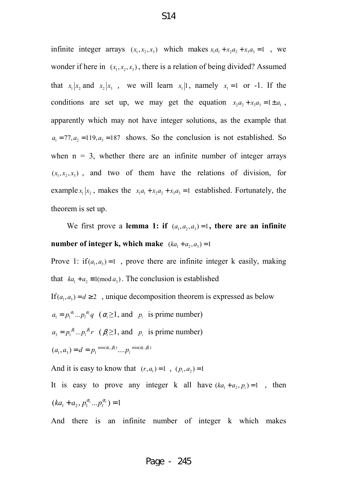infinite integer arrays  $(x_1, x_2, x_3)$  which makes  $x_1 a_1 + x_2 a_2 + x_3 a_3 = 1$ , we wonder if here in  $(x_1, x_2, x_3)$ , there is a relation of being divided? Assumed that  $x_1 | x_2$  and  $x_2 | x_3$ , we will learn  $x_1 | 1$ , namely  $x_1 = 1$  or -1. If the conditions are set up, we may get the equation  $x_2 a_2 + x_3 a_3 = 1 \pm a_1$ , apparently which may not have integer solutions, as the example that  $a_1 = 77, a_2 = 119, a_3 = 187$  shows. So the conclusion is not established. So when  $n = 3$ , whether there are an infinite number of integer arrays  $(x_1, x_2, x_3)$ , and two of them have the relations of division, for example  $x_1 | x_2$ , makes the  $x_1 a_1 + x_2 a_2 + x_3 a_3 = 1$  established. Fortunately, the theorem is set up.

We first prove a **lemma 1: if**  $(a_1, a_2, a_3) = 1$ , there are an infinite **number of integer k, which make**  $(ka_1 + a_2, a_3) = 1$ 

Prove 1: if  $(a_1, a_3) = 1$ , prove there are infinite integer k easily, making that  $ka_1 + a_2 \equiv 1 \pmod{a_3}$ . The conclusion is established

If  $(a_1, a_3) = d \geq 2$ , unique decomposition theorem is expressed as below  $a_1 = p_1^{\alpha_1} \dots p_l^{\alpha_l} q \quad (\alpha_i \ge 1, \text{ and } p_i \text{ is prime number})$  $a_3 = p_1^{\beta_1} \dots p_l^{\beta_l} r \quad (\beta_i \ge 1, \text{ and } p_i \text{ is prime number})$  $(a_1, a_3) = d = p_1^{min(\alpha_1, \beta_1)} ... p_l^{min(\alpha_l, \beta_l)}$ 

And it is easy to know that  $(r, a_1) = 1$ ,  $(p_i, a_2) = 1$ 

It is easy to prove any integer k all have  $(ka_1 + a_2, p_i) = 1$ , then  $(ka_1 + a_2, p_1^{\alpha_1}...p_l^{\alpha_l}) = 1$ 

And there is an infinite number of integer k which makes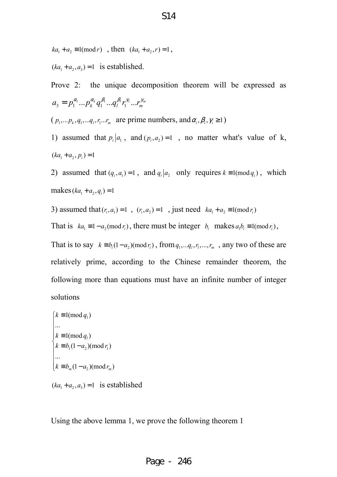$ka_1 + a_2 \equiv 1 \pmod{r}$ , then  $(ka_1 + a_2, r) = 1$ ,

 $(ka_1 + a_2, a_3) = 1$  is established.

```
Prove 2: the unique decomposition theorem will be expressed as 
a_{3} = p_{1}^{\alpha_{1}}...p_{k}^{\alpha_{k}}q_{1}^{\beta_{1}}...q_{l}^{\beta_{l}}r_{1}^{\gamma_{1}}...r_{m}^{\gamma_{m}}
```
 $(p_1,...p_k, q_1,...q_i, r_1...r_m$  are prime numbers, and  $\alpha_i, \beta_i, \gamma_i \ge 1$ )

1) assumed that  $p_i | a_1$ , and  $(p_i, a_2) = 1$ , no matter what's value of k,  $(ka_1 + a_2, p_i) = 1$ 

2) assumed that  $(q_i, a_i) = 1$ , and  $q_i | a_2$  only requires  $k \equiv 1 \pmod{q_i}$ , which  $makes (ka_1 + a_2, q_i) = 1$ 

3) assumed that  $(r_i, a_1) = 1$ ,  $(r_i, a_2) = 1$ , just need  $ka_1 + a_2 \equiv 1 \pmod{r_i}$ 

That is  $ka_1 \equiv 1 - a_2 \pmod{r_i}$ , there must be integer  $b_i$  makes  $a_1b_i \equiv 1 \pmod{r_i}$ ,

That is to say  $k \equiv b_i(1-a_2) (\text{mod } r_i)$ , from  $q_1, \ldots, q_i, r_1, \ldots, r_m$ , any two of these are relatively prime, according to the Chinese remainder theorem, the following more than equations must have an infinite number of integer solutions

 $k \equiv 1 \pmod{q_1}$  $v_1$ <sup>1</sup>  $u_2$ /(1110**4** $v_1$ 2 ...  $1 \text{ (mod } q_i)$  $(1 - a_2) \pmod{r_1}$ ...  $k \equiv b_m (1 - a_2) (\text{mod } r_m)$  $k \equiv 1 \pmod{q_i}$  $k \equiv b_1(1-a_2) \pmod{r_1}$  $\overline{\phantom{a}}$  $\overline{\phantom{a}}$  $k \equiv$ ∤  $k \equiv b_1(1 \overline{a}$  $\overline{\phantom{a}}$  $k \equiv b_m(1 -$ 

 $(ka_1 + a_2, a_3) = 1$  is established

Using the above lemma 1, we prove the following theorem 1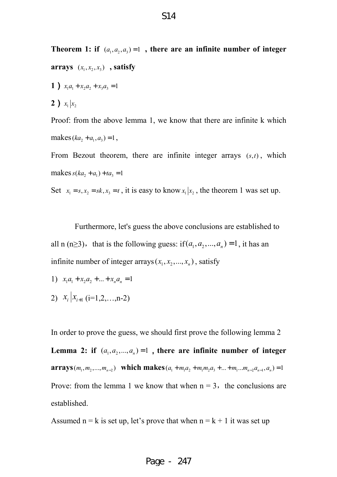**Theorem 1: if**  $(a_1, a_2, a_3) = 1$ , there are an infinite number of integer **arrays**  $(x_1, x_2, x_3)$ , **satisfy 1**)  $x_1a_1 + x_2a_2 + x_3a_3 = 1$ **2**)  $x_1 | x_2$ Proof: from the above lemma 1, we know that there are infinite k which

makes  $(ka_2 + a_1, a_3) = 1$ ,

From Bezout theorem, there are infinite integer arrays  $(s, t)$ , which makes  $s(ka_2 + a_1) + ta_3 = 1$ 

Set  $x_1 = s, x_2 = sk, x_3 = t$ , it is easy to know  $x_1 | x_2$ , the theorem 1 was set up.

Furthermore, let's guess the above conclusions are established to all n (n≥3), that is the following guess: if  $(a_1, a_2, ..., a_n) = 1$ , it has an infinite number of integer arrays  $(x_1, x_2, ..., x_n)$ , satisfy

- 1)  $x_1 a_1 + x_2 a_2 + ... + x_n a_n = 1$
- 2)  $x_i | x_{i+1}$  (i=1,2,...,n-2)

In order to prove the guess, we should first prove the following lemma 2 Lemma 2: if  $(a_1, a_2, ..., a_n) = 1$ , there are infinite number of integer **arrays**  $(m_1, m_2, ..., m_{n-2})$  which makes  $(a_1 + m_1a_2 + m_1m_2a_3 + ... + m_1...m_{n-2}a_{n-1}, a_n) = 1$ Prove: from the lemma 1 we know that when  $n = 3$ , the conclusions are established.

Assumed n = k is set up, let's prove that when  $n = k + 1$  it was set up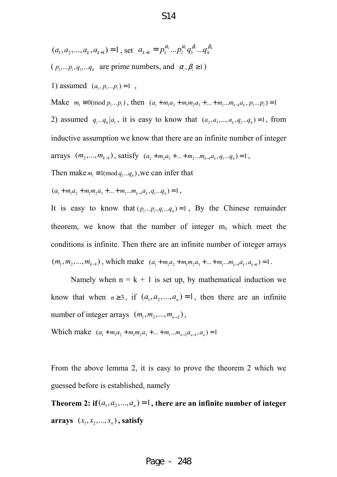- $(a_1, a_2, ..., a_k, a_{k+1}) = 1$ , set  $a_{k+1} = p_1^{\alpha_1} ... p_l^{\alpha_l} q_1^{\beta_1} ... q_n^{\beta_n}$
- $(p_1,... p_i, q_1,... q_h$  are prime numbers, and  $\alpha_i, \beta_i \ge 1$ )
- 1) assumed  $(a_1, p_1... p_l) = 1$ ,

Make  $m_1 \equiv 0 \pmod{p_1...p_l}$ , then  $(a_1 + m_1 a_2 + m_1 m_2 a_3 + ... + m_1 ... m_{k-1} a_k, p_1 ... p_l) = 1$ 

2) assumed  $q_i...q_h|a_1$ , it is easy to know that  $(a_2, a_3,..., a_k, q_1...q_h) = 1$ , from inductive assumption we know that there are an infinite number of integer arrays  $(m_2,..., m_{k-1})$ , satisfy  $(a_2 + m_2 a_3 + ... + m_2... m_{k-1} a_k, q_1...q_k) = 1$ ,

Then make  $m_1 \equiv 1 \pmod{q_1...q_h}$ , we can infer that

$$
(a_1 + m_1 a_2 + m_1 m_2 a_3 + \dots + m_1 \dots m_{k-1} a_k, q_1 \dots q_k) = 1,
$$

It is easy to know that  $(p_1... p_l, q_1... q_h) = 1$ , By the Chinese remainder theorem, we know that the number of integer  $m_1$  which meet the conditions is infinite. Then there are an infinite number of integer arrays  $(m_1, m_2, ..., m_{k-1})$ , which make  $(a_1 + m_1 a_2 + m_1 m_2 a_3 + ... + m_1 ... m_{k-1} a_k, a_{k+1}) = 1$ .

Namely when  $n = k + 1$  is set up, by mathematical induction we know that when  $n \ge 3$ , if  $(a_1, a_2, ..., a_n) = 1$ , then there are an infinite number of integer arrays  $(m_1, m_2, ..., m_{n-2})$ ,

Which make  $(a_1 + m_1 a_2 + m_1 m_2 a_3 + \dots + m_1 \dots m_{n-2} a_{n-1}, a_n) = 1$ 

From the above lemma 2, it is easy to prove the theorem 2 which we guessed before is established, namely

Theorem 2: if  $(a_1, a_2, ..., a_n) = 1$ , there are an infinite number of integer **arrays**  $(x_1, x_2, ..., x_n)$ , satisfy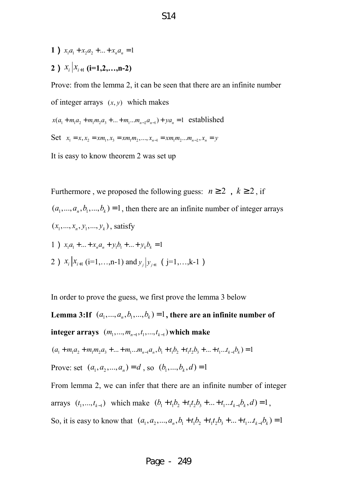- **1** )  $x_1a_1 + x_2a_2 + ... + x_na_n = 1$
- **2**)  $x_i | x_{i+1}$  (**i**=1,2,...,n-2)

Prove: from the lemma 2, it can be seen that there are an infinite number of integer arrays  $(x, y)$  which makes

$$
x(a_1 + m_1 a_2 + m_1 m_2 a_3 + \dots + m_1 \dots m_{n-2} a_{n-1}) + ya_n = 1
$$
 established

Set 
$$
x_1 = x, x_2 = xm_1, x_3 = xm_1m_2, ..., x_{n-1} = xm_1m_2...m_{n-2}, x_n = y
$$

It is easy to know theorem 2 was set up

Furthermore, we proposed the following guess:  $n \ge 2$ ,  $k \ge 2$ , if  $(a_1, ..., a_n, b_1, ..., b_k) = 1$ , then there are an infinite number of integer arrays  $(x_1, ..., x_n, y_1, ..., y_k)$ , satisfy 1)  $x_1 a_1 + ... + x_n a_n + y_1 b_1 + ... + y_k b_k = 1$ 2)  $x_i | x_{i+1}$  (i=1,…,n-1) and  $y_j | y_{j+1}$  (j=1,…,k-1)

In order to prove the guess, we first prove the lemma 3 below

**Lemma 3:If**  $(a_1, ..., a_n, b_1, ..., b_k) = 1$ , there are an infinite number of **integer arrays**  $(m_1, ..., m_{n-1}, t_1, ..., t_{k-1})$  which make

$$
(a_1 + m_1 a_2 + m_1 m_2 a_3 + \dots + m_1 \dots m_{n-1} a_n, b_1 + t_1 b_2 + t_1 t_2 b_3 + \dots + t_1 \dots t_{k-1} b_k) = 1
$$

Prove: set  $(a_1, a_2, ..., a_n) = d$ , so  $(b_1, ..., b_k, d) = 1$ 

From lemma 2, we can infer that there are an infinite number of integer arrays  $(t_1, ..., t_{k-1})$  which make  $(b_1 + t_1b_2 + t_1t_2b_3 + ... + t_1...t_{k-1}b_k, d) = 1$ , So, it is easy to know that  $(a_1, a_2, ..., a_n, b_1 + t_1b_2 + t_1t_2b_3 + ... + t_1...t_{k-1}b_k) = 1$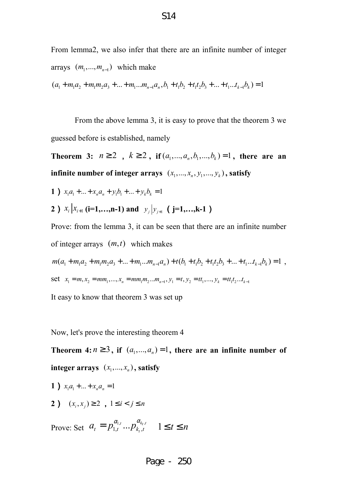From lemma2, we also infer that there are an infinite number of integer arrays  $(m_1, ..., m_{n-1})$  which make  $(a_1 + m_1 a_2 + m_1 m_2 a_3 + \dots + m_1 \dots m_{n-1} a_n, b_1 + t_1 b_2 + t_1 t_2 b_3 + \dots + t_1 \dots t_{k-1} b_k) = 1$ 

From the above lemma 3, it is easy to prove that the theorem 3 we guessed before is established, namely

**Theorem 3:**  $n \ge 2$ ,  $k \ge 2$ , if  $(a_1, ..., a_n, b_1, ..., b_k) = 1$ , there are an **infinite number of integer arrays**  $(x_1, ..., x_n, y_1, ..., y_k)$ , satisfy

**1**)  $x_1 a_1 + ... + x_n a_n + y_1 b_1 + ... + y_k b_k = 1$ 

**2** )  $x_i | x_{i+1}$  (**i**=1,…,n-1) and  $y_j | y_{j+1}$  (**j**=1,…,k-1 )

Prove: from the lemma 3, it can be seen that there are an infinite number of integer arrays  $(m, t)$  which makes

$$
m(a_1 + m_1 a_2 + m_1 m_2 a_3 + \dots + m_1 \dots m_{n-1} a_n) + t(b_1 + t_1 b_2 + t_1 t_2 b_3 + \dots + t_1 \dots t_{k-1} b_k) = 1,
$$
  
set  $x_1 = m, x_2 = mm_1, \dots, x_n = mm_1 m_2 \dots m_{n-1}, y_1 = t, y_2 = tt_1, \dots, y_k = tt_1 t_2 \dots t_{k-1}$ 

It easy to know that theorem 3 was set up

Now, let's prove the interesting theorem 4

Theorem 4:  $n \ge 3$ , if  $(a_1,..., a_n) = 1$ , there are an infinite number of  $integer \, arrays \, (x_1, ..., x_n), satisfy$ 

- **1** )  $x_1a_1 + ... + x_n a_n = 1$
- **2**)  $(x_i, x_j) \ge 2$ ,  $1 \le i < j \le n$

Prove: Set  $a_t = p_{1,t}^{\alpha_{1,t}} ... p_{k_t,t}^{\alpha_{k_t,t}}$  $a_t = p_{1,t}^{\alpha_{1,t}} ... p_{k_t,t}^{\alpha_{k_t,t}} \quad 1 \le t \le n$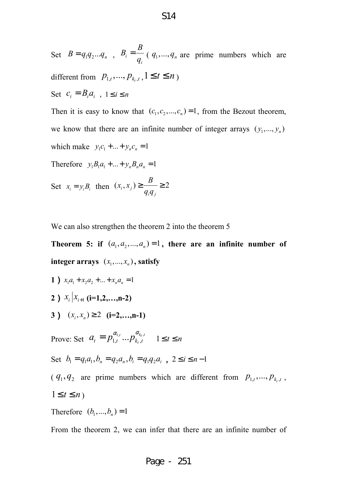Set  $B = q_1 q_2 ... q_n$ ,  $B_i$ *i B B*  $=\frac{b}{q_i}$  ( $q_1,..., q_n$  are prime numbers which are different from  $p_{1,t}, ..., p_{k_t,t}$ ,  $1 \le t \le n$ ) Set  $c_i = B_i a_i$ ,  $1 \le i \le n$ 

Then it is easy to know that  $(c_1, c_2, ..., c_n) = 1$ , from the Bezout theorem, we know that there are an infinite number of integer arrays  $(y_1, ..., y_n)$ which make  $y_1 c_1 + ... + y_n c_n = 1$ 

Therefore  $y_1 B_1 a_1 + ... + y_n B_n a_n = 1$ 

Set 
$$
x_i = y_i B_i
$$
 then  $(x_i, x_j) \ge \frac{B}{q_i q_j} \ge 2$ 

We can also strengthen the theorem 2 into the theorem 5

**Theorem 5: if**  $(a_1, a_2, ..., a_n) = 1$ , there are an infinite number of  $integer \, arrays \, (x_1, ..., x_n)$ , satisfy

- **1** )  $x_1a_1 + x_2a_2 + ... + x_na_n = 1$ **2**)  $x_i | x_{i+1}$  (**i**=1,2,...,n-2)
- **3**)  $(x_i, x_i) \ge 2$  (**i**=2,…,n-1)

Prove: Set  $a_t = p_{1,t}^{\alpha_{1,t}} ... p_{k_t,t}^{\alpha_{k_t,t}}$  $a_t = p_{1,t}^{\alpha_{1,t}} ... p_{k_t,t}^{\alpha_{k_t,t}} \quad 1 \le t \le n$ 

Set 
$$
b_1 = q_1 a_1, b_n = q_2 a_n, b_i = q_1 q_2 a_i
$$
,  $2 \le i \le n-1$ 

 $(q_1, q_2)$  are prime numbers which are different from  $p_{1,t}, ..., p_{k_t, t}$ ,  $1 \leq t \leq n$ 

Therefore  $(b_1, ..., b_n) = 1$ 

From the theorem 2, we can infer that there are an infinite number of

## Page - 251